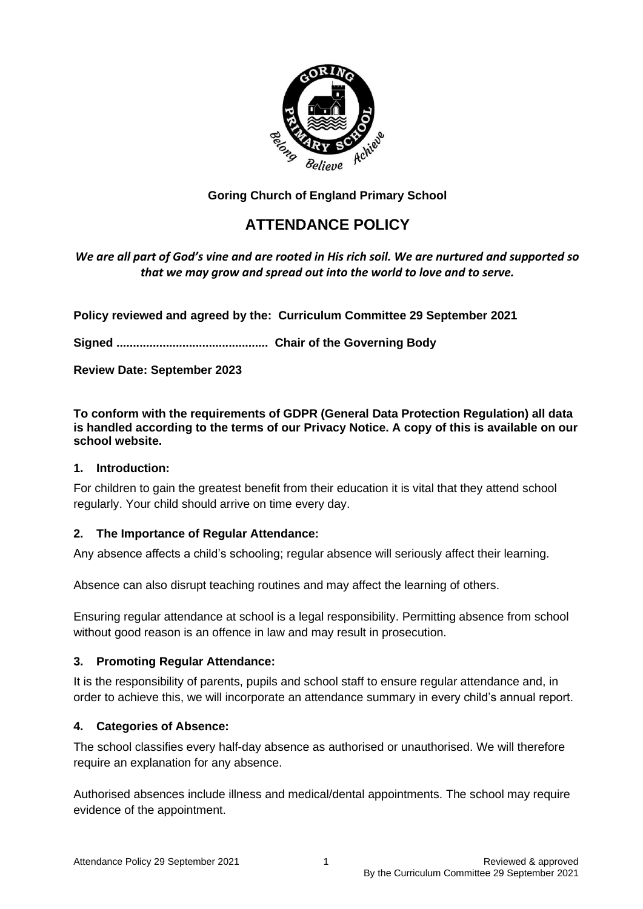

# **Goring Church of England Primary School**

# **ATTENDANCE POLICY**

*We are all part of God's vine and are rooted in His rich soil. We are nurtured and supported so that we may grow and spread out into the world to love and to serve.*

**Policy reviewed and agreed by the: Curriculum Committee 29 September 2021**

**Signed .............................................. Chair of the Governing Body** 

**Review Date: September 2023**

**To conform with the requirements of GDPR (General Data Protection Regulation) all data is handled according to the terms of our Privacy Notice. A copy of this is available on our school website.** 

#### **1. Introduction:**

For children to gain the greatest benefit from their education it is vital that they attend school regularly. Your child should arrive on time every day.

#### **2. The Importance of Regular Attendance:**

Any absence affects a child's schooling; regular absence will seriously affect their learning.

Absence can also disrupt teaching routines and may affect the learning of others.

Ensuring regular attendance at school is a legal responsibility. Permitting absence from school without good reason is an offence in law and may result in prosecution.

#### **3. Promoting Regular Attendance:**

It is the responsibility of parents, pupils and school staff to ensure regular attendance and, in order to achieve this, we will incorporate an attendance summary in every child's annual report.

#### **4. Categories of Absence:**

The school classifies every half-day absence as authorised or unauthorised. We will therefore require an explanation for any absence.

Authorised absences include illness and medical/dental appointments. The school may require evidence of the appointment.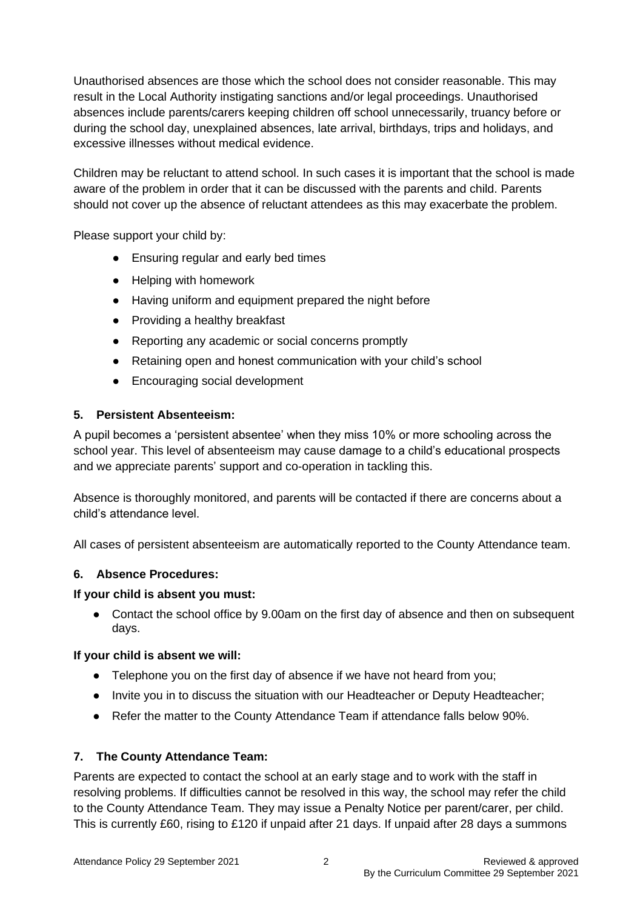Unauthorised absences are those which the school does not consider reasonable. This may result in the Local Authority instigating sanctions and/or legal proceedings. Unauthorised absences include parents/carers keeping children off school unnecessarily, truancy before or during the school day, unexplained absences, late arrival, birthdays, trips and holidays, and excessive illnesses without medical evidence.

Children may be reluctant to attend school. In such cases it is important that the school is made aware of the problem in order that it can be discussed with the parents and child. Parents should not cover up the absence of reluctant attendees as this may exacerbate the problem.

Please support your child by:

- Ensuring regular and early bed times
- Helping with homework
- Having uniform and equipment prepared the night before
- Providing a healthy breakfast
- Reporting any academic or social concerns promptly
- Retaining open and honest communication with your child's school
- Encouraging social development

## **5. Persistent Absenteeism:**

A pupil becomes a 'persistent absentee' when they miss 10% or more schooling across the school year. This level of absenteeism may cause damage to a child's educational prospects and we appreciate parents' support and co-operation in tackling this.

Absence is thoroughly monitored, and parents will be contacted if there are concerns about a child's attendance level.

All cases of persistent absenteeism are automatically reported to the County Attendance team.

# **6. Absence Procedures:**

#### **If your child is absent you must:**

• Contact the school office by 9.00am on the first day of absence and then on subsequent days.

#### **If your child is absent we will:**

- Telephone you on the first day of absence if we have not heard from you;
- Invite you in to discuss the situation with our Headteacher or Deputy Headteacher;
- Refer the matter to the County Attendance Team if attendance falls below 90%.

# **7. The County Attendance Team:**

Parents are expected to contact the school at an early stage and to work with the staff in resolving problems. If difficulties cannot be resolved in this way, the school may refer the child to the County Attendance Team. They may issue a Penalty Notice per parent/carer, per child. This is currently £60, rising to £120 if unpaid after 21 days. If unpaid after 28 days a summons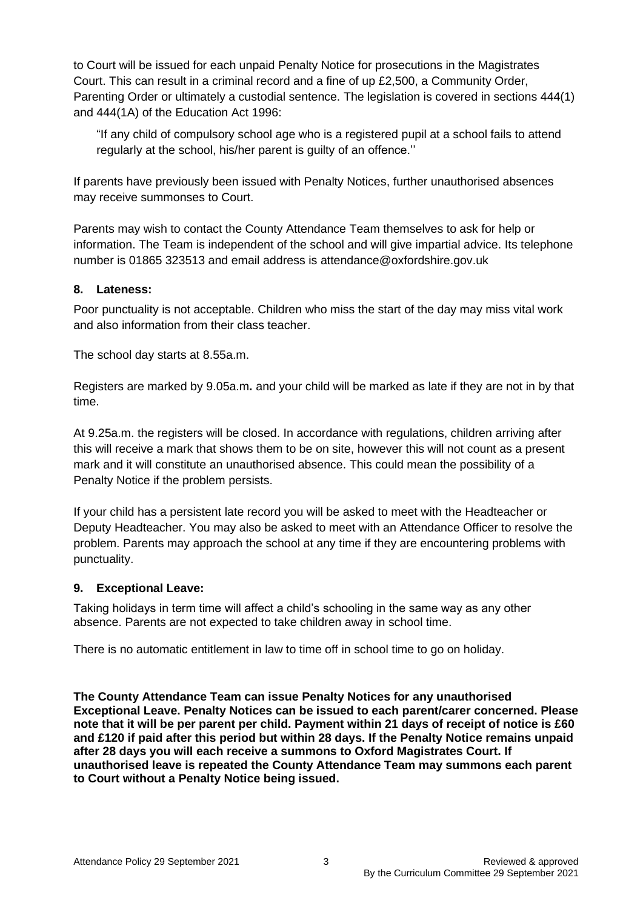to Court will be issued for each unpaid Penalty Notice for prosecutions in the Magistrates Court. This can result in a criminal record and a fine of up £2,500, a Community Order, Parenting Order or ultimately a custodial sentence. The legislation is covered in sections 444(1) and 444(1A) of the Education Act 1996:

"If any child of compulsory school age who is a registered pupil at a school fails to attend regularly at the school, his/her parent is guilty of an offence.''

If parents have previously been issued with Penalty Notices, further unauthorised absences may receive summonses to Court.

Parents may wish to contact the County Attendance Team themselves to ask for help or information. The Team is independent of the school and will give impartial advice. Its telephone number is 01865 323513 and email address is attendance@oxfordshire.gov.uk

## **8. Lateness:**

Poor punctuality is not acceptable. Children who miss the start of the day may miss vital work and also information from their class teacher.

The school day starts at 8.55a.m.

Registers are marked by 9.05a.m**.** and your child will be marked as late if they are not in by that time.

At 9.25a.m. the registers will be closed. In accordance with regulations, children arriving after this will receive a mark that shows them to be on site, however this will not count as a present mark and it will constitute an unauthorised absence. This could mean the possibility of a Penalty Notice if the problem persists.

If your child has a persistent late record you will be asked to meet with the Headteacher or Deputy Headteacher. You may also be asked to meet with an Attendance Officer to resolve the problem. Parents may approach the school at any time if they are encountering problems with punctuality.

#### **9. Exceptional Leave:**

Taking holidays in term time will affect a child's schooling in the same way as any other absence. Parents are not expected to take children away in school time.

There is no automatic entitlement in law to time off in school time to go on holiday.

**The County Attendance Team can issue Penalty Notices for any unauthorised Exceptional Leave. Penalty Notices can be issued to each parent/carer concerned. Please note that it will be per parent per child. Payment within 21 days of receipt of notice is £60 and £120 if paid after this period but within 28 days. If the Penalty Notice remains unpaid after 28 days you will each receive a summons to Oxford Magistrates Court. If unauthorised leave is repeated the County Attendance Team may summons each parent to Court without a Penalty Notice being issued.**